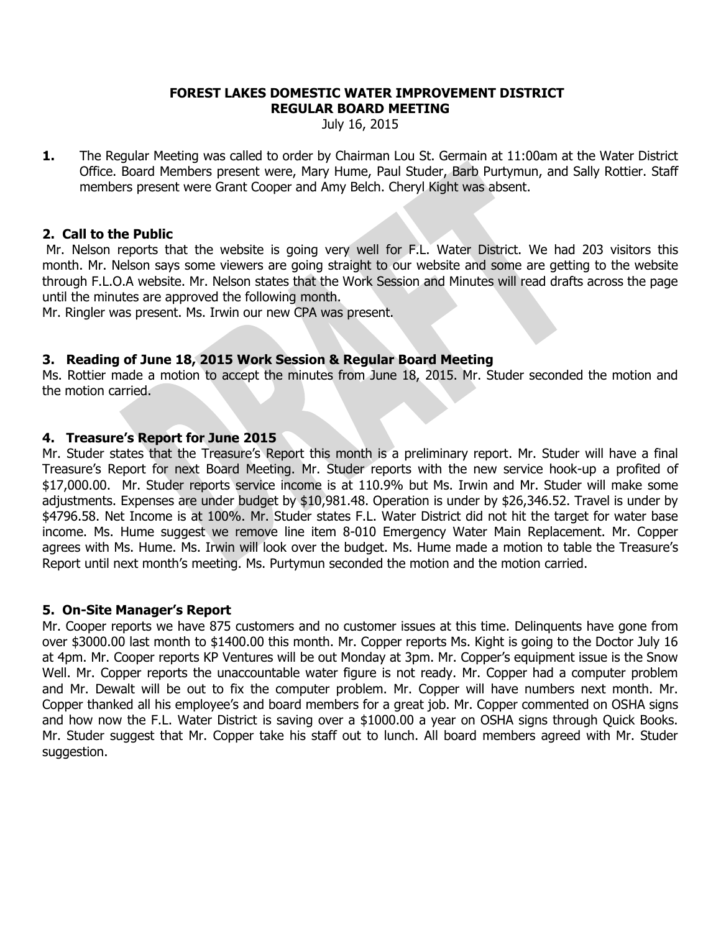#### **FOREST LAKES DOMESTIC WATER IMPROVEMENT DISTRICT REGULAR BOARD MEETING**

July 16, 2015

**1.** The Regular Meeting was called to order by Chairman Lou St. Germain at 11:00am at the Water District Office. Board Members present were, Mary Hume, Paul Studer, Barb Purtymun, and Sally Rottier. Staff members present were Grant Cooper and Amy Belch. Cheryl Kight was absent.

## **2. Call to the Public**

Mr. Nelson reports that the website is going very well for F.L. Water District. We had 203 visitors this month. Mr. Nelson says some viewers are going straight to our website and some are getting to the website through F.L.O.A website. Mr. Nelson states that the Work Session and Minutes will read drafts across the page until the minutes are approved the following month.

Mr. Ringler was present. Ms. Irwin our new CPA was present.

## **3. Reading of June 18, 2015 Work Session & Regular Board Meeting**

Ms. Rottier made a motion to accept the minutes from June 18, 2015. Mr. Studer seconded the motion and the motion carried.

## **4. Treasure's Report for June 2015**

Mr. Studer states that the Treasure's Report this month is a preliminary report. Mr. Studer will have a final Treasure's Report for next Board Meeting. Mr. Studer reports with the new service hook-up a profited of \$17,000.00. Mr. Studer reports service income is at 110.9% but Ms. Irwin and Mr. Studer will make some adjustments. Expenses are under budget by \$10,981.48. Operation is under by \$26,346.52. Travel is under by \$4796.58. Net Income is at 100%. Mr. Studer states F.L. Water District did not hit the target for water base income. Ms. Hume suggest we remove line item 8-010 Emergency Water Main Replacement. Mr. Copper agrees with Ms. Hume. Ms. Irwin will look over the budget. Ms. Hume made a motion to table the Treasure's Report until next month's meeting. Ms. Purtymun seconded the motion and the motion carried.

## **5. On-Site Manager's Report**

Mr. Cooper reports we have 875 customers and no customer issues at this time. Delinquents have gone from over \$3000.00 last month to \$1400.00 this month. Mr. Copper reports Ms. Kight is going to the Doctor July 16 at 4pm. Mr. Cooper reports KP Ventures will be out Monday at 3pm. Mr. Copper's equipment issue is the Snow Well. Mr. Copper reports the unaccountable water figure is not ready. Mr. Copper had a computer problem and Mr. Dewalt will be out to fix the computer problem. Mr. Copper will have numbers next month. Mr. Copper thanked all his employee's and board members for a great job. Mr. Copper commented on OSHA signs and how now the F.L. Water District is saving over a \$1000.00 a year on OSHA signs through Quick Books. Mr. Studer suggest that Mr. Copper take his staff out to lunch. All board members agreed with Mr. Studer suggestion.